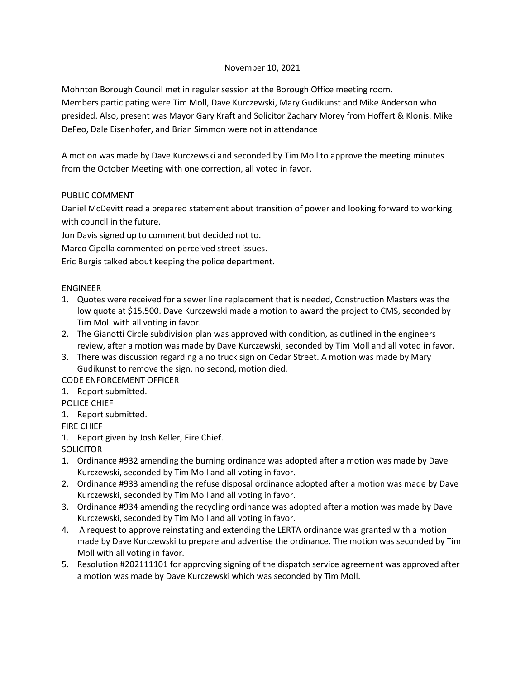## November 10, 2021

Mohnton Borough Council met in regular session at the Borough Office meeting room.

Members participating were Tim Moll, Dave Kurczewski, Mary Gudikunst and Mike Anderson who presided. Also, present was Mayor Gary Kraft and Solicitor Zachary Morey from Hoffert & Klonis. Mike DeFeo, Dale Eisenhofer, and Brian Simmon were not in attendance

A motion was made by Dave Kurczewski and seconded by Tim Moll to approve the meeting minutes from the October Meeting with one correction, all voted in favor.

## PUBLIC COMMENT

Daniel McDevitt read a prepared statement about transition of power and looking forward to working with council in the future.

Jon Davis signed up to comment but decided not to.

Marco Cipolla commented on perceived street issues.

Eric Burgis talked about keeping the police department.

### ENGINEER

- 1. Quotes were received for a sewer line replacement that is needed, Construction Masters was the low quote at \$15,500. Dave Kurczewski made a motion to award the project to CMS, seconded by Tim Moll with all voting in favor.
- 2. The Gianotti Circle subdivision plan was approved with condition, as outlined in the engineers review, after a motion was made by Dave Kurczewski, seconded by Tim Moll and all voted in favor.
- 3. There was discussion regarding a no truck sign on Cedar Street. A motion was made by Mary Gudikunst to remove the sign, no second, motion died.

CODE ENFORCEMENT OFFICER

1. Report submitted.

POLICE CHIEF

1. Report submitted.

FIRE CHIEF

1. Report given by Josh Keller, Fire Chief.

**SOLICITOR** 

- 1. Ordinance #932 amending the burning ordinance was adopted after a motion was made by Dave Kurczewski, seconded by Tim Moll and all voting in favor.
- 2. Ordinance #933 amending the refuse disposal ordinance adopted after a motion was made by Dave Kurczewski, seconded by Tim Moll and all voting in favor.
- 3. Ordinance #934 amending the recycling ordinance was adopted after a motion was made by Dave Kurczewski, seconded by Tim Moll and all voting in favor.
- 4. A request to approve reinstating and extending the LERTA ordinance was granted with a motion made by Dave Kurczewski to prepare and advertise the ordinance. The motion was seconded by Tim Moll with all voting in favor.
- 5. Resolution #202111101 for approving signing of the dispatch service agreement was approved after a motion was made by Dave Kurczewski which was seconded by Tim Moll.